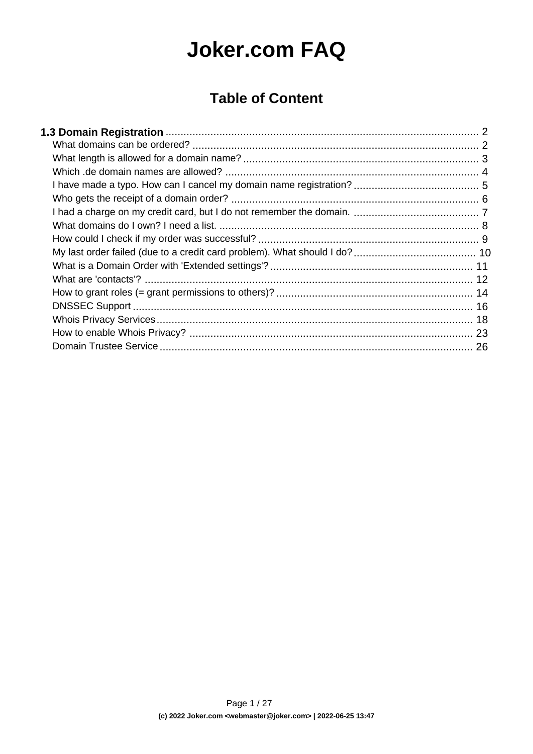# **Joker.com FAQ**

### **Table of Content**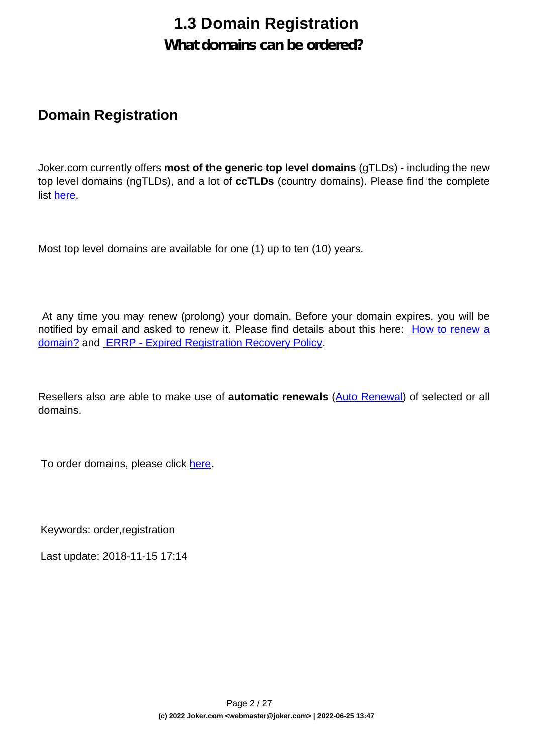#### **What domains can be ordered?**

#### <span id="page-1-0"></span>**Domain Registration**

Joker.com currently offers **most of the generic top level domains** (gTLDs) - including the new top level domains (ngTLDs), and a lot of **ccTLDs** (country domains). Please find the complete list [here.](https://joker.com/goto/prices)

Most top level domains are available for one (1) up to ten (10) years.

 At any time you may renew (prolong) your domain. Before your domain expires, you will be notified by email and asked to renew it. Please find details about this here: [How to renew a](index.php?action=artikel&cat=10&id=87&artlang=en) [domain?](index.php?action=artikel&cat=10&id=87&artlang=en) and [ERRP - Expired Registration Recovery Policy.](index.php?action=artikel&cat=52&id=467&artlang=en)

Resellers also are able to make use of **automatic renewals** ([Auto Renewal\)](index.php?action=artikel&cat=10&id=466&artlang=en) of selected or all domains.

To order domains, please click [here.](..//?mode=order_choose)

Keywords: order,registration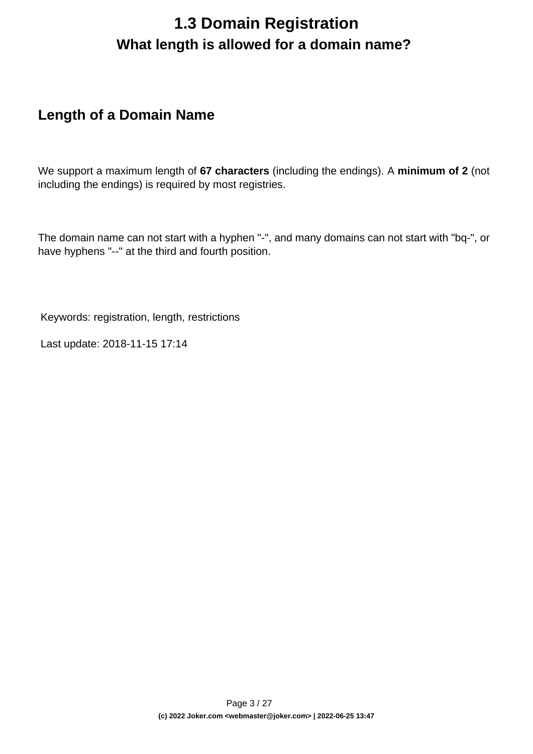## **1.3 Domain Registration What length is allowed for a domain name?**

### <span id="page-2-0"></span>**Length of a Domain Name**

We support a maximum length of **67 characters** (including the endings). A **minimum of 2** (not including the endings) is required by most registries.

The domain name can not start with a hyphen "-", and many domains can not start with "bq-", or have hyphens "--" at the third and fourth position.

Keywords: registration, length, restrictions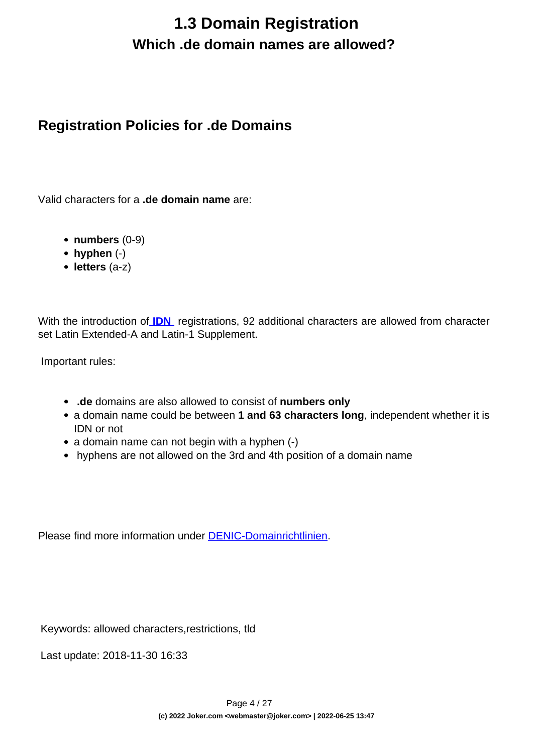## **1.3 Domain Registration Which .de domain names are allowed?**

### <span id="page-3-0"></span>**Registration Policies for .de Domains**

Valid characters for a **.de domain name** are:

- **numbers** (0-9)
- **hyphen** (-)
- **letters** (a-z)

With the introduction of **IDN** registrations, 92 additional characters are allowed from character set Latin Extended-A and Latin-1 Supplement.

Important rules:

- **.de** domains are also allowed to consist of **numbers only**
- a domain name could be between **1 and 63 characters long**, independent whether it is IDN or not
- a domain name can not begin with a hyphen (-)
- hyphens are not allowed on the 3rd and 4th position of a domain name

Please find more information under [DENIC-Domainrichtlinien.](http://www.denic.de/en/denic-domain-guidelines.html)

Keywords: allowed characters,restrictions, tld

Last update: 2018-11-30 16:33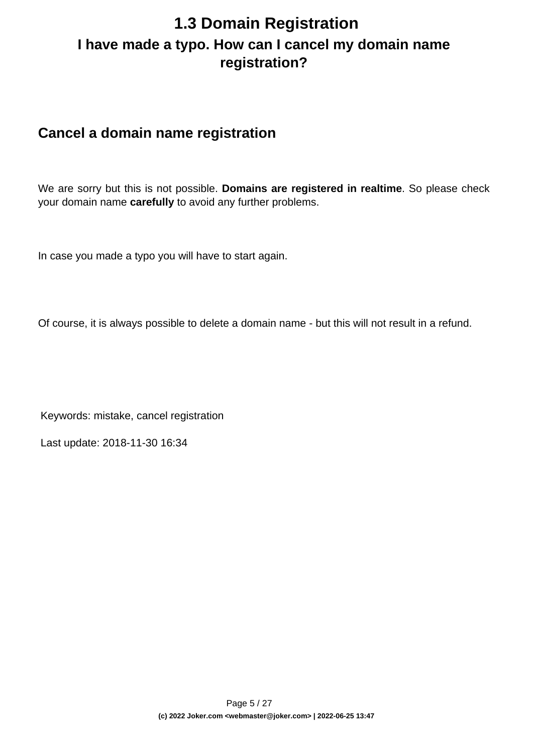### <span id="page-4-0"></span>**1.3 Domain Registration I have made a typo. How can I cancel my domain name registration?**

### **Cancel a domain name registration**

We are sorry but this is not possible. **Domains are registered in realtime**. So please check your domain name **carefully** to avoid any further problems.

In case you made a typo you will have to start again.

Of course, it is always possible to delete a domain name - but this will not result in a refund.

Keywords: mistake, cancel registration

Last update: 2018-11-30 16:34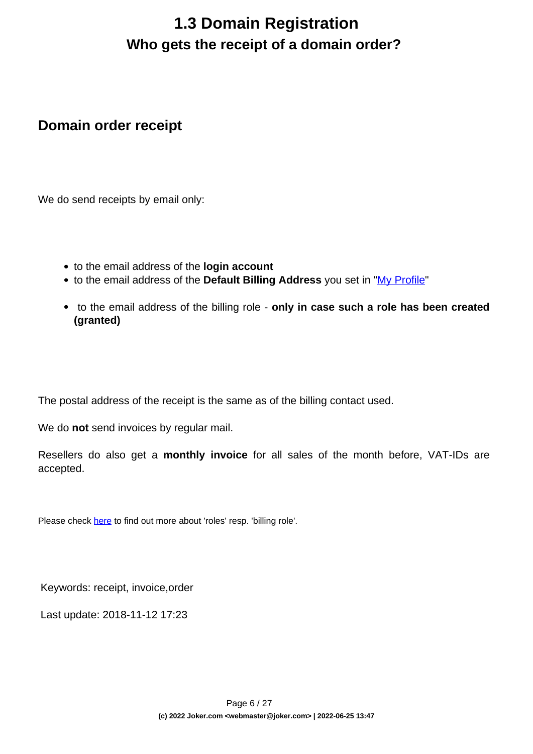## **1.3 Domain Registration Who gets the receipt of a domain order?**

#### <span id="page-5-0"></span>**Domain order receipt**

We do send receipts by email only:

- to the email address of the **login account**
- to the email address of the **Default Billing Address** you set in "[My Profile"](/goto/myjoker)
- to the email address of the billing role **only in case such a role has been created (granted)**

The postal address of the receipt is the same as of the billing contact used.

We do **not** send invoices by regular mail.

Resellers do also get a **monthly invoice** for all sales of the month before, VAT-IDs are accepted.

Please check [here](content/5/446/en/how-to-grant-roles-%3D-grant-permissions-to-others.html) to find out more about 'roles' resp. 'billing role'.

Keywords: receipt, invoice,order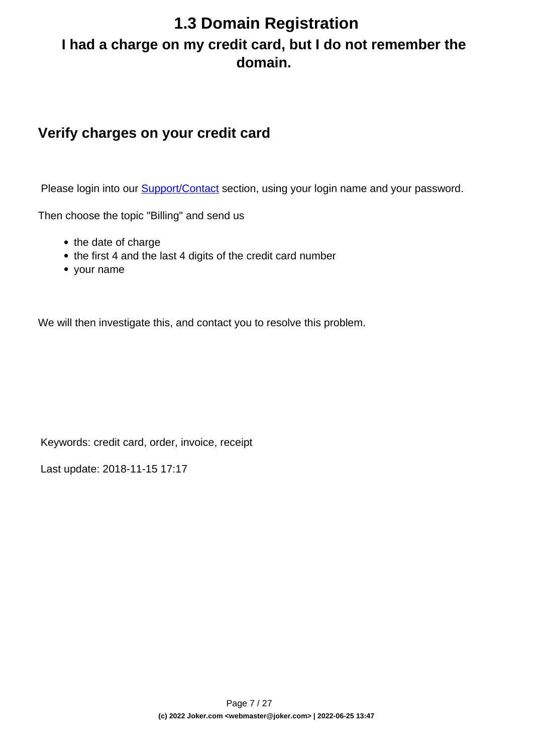## <span id="page-6-0"></span>**1.3 Domain Registration I had a charge on my credit card, but I do not remember the domain.**

#### **Verify charges on your credit card**

Please login into our **Support/Contact** section, using your login name and your password.

Then choose the topic "Billing" and send us

- the date of charge
- the first 4 and the last 4 digits of the credit card number
- your name

We will then investigate this, and contact you to resolve this problem.

Keywords: credit card, order, invoice, receipt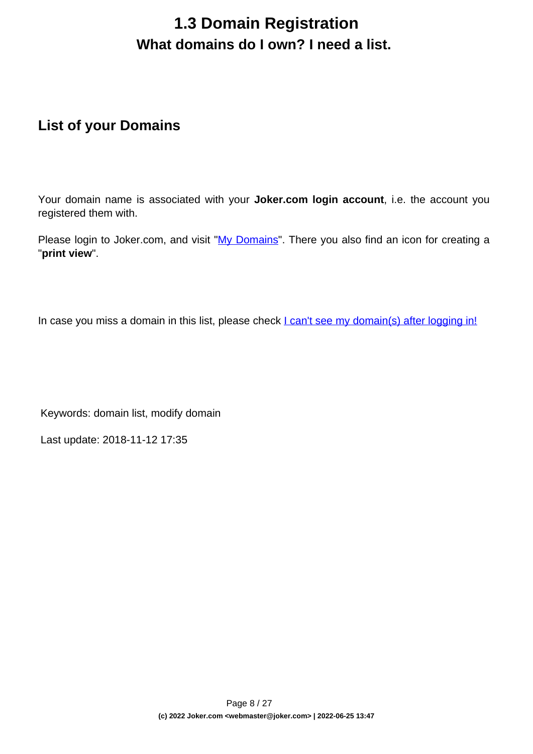## **1.3 Domain Registration What domains do I own? I need a list.**

### <span id="page-7-0"></span>**List of your Domains**

Your domain name is associated with your **Joker.com login account**, i.e. the account you registered them with.

Please login to Joker.com, and visit ["My Domains"](/goto/modify). There you also find an icon for creating a "**print view**".

In case you miss a domain in this list, please check **L** can't see my domain(s) after logging in!

Keywords: domain list, modify domain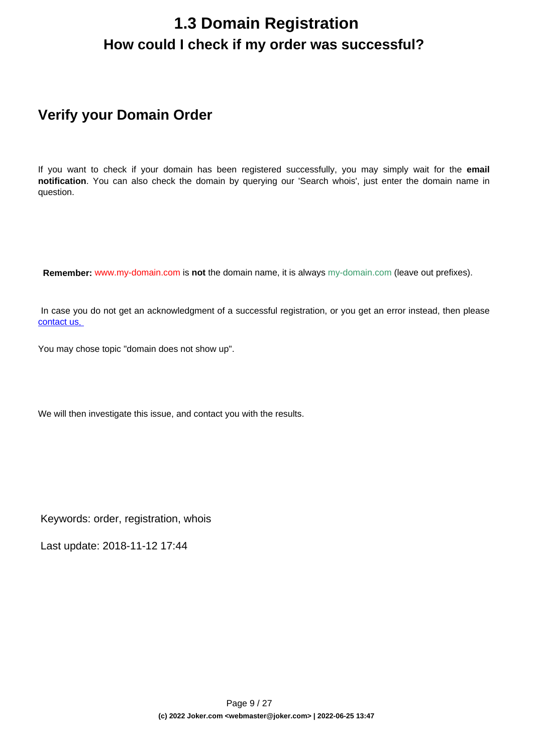### <span id="page-8-0"></span>**1.3 Domain Registration How could I check if my order was successful?**

### **Verify your Domain Order**

If you want to check if your domain has been registered successfully, you may simply wait for the **email notification**. You can also check the domain by querying our 'Search whois', just enter the domain name in question.

 **Remember:** www.my-domain.com is **not** the domain name, it is always my-domain.com (leave out prefixes).

 In case you do not get an acknowledgment of a successful registration, or you get an error instead, then please [contact us](/goto/support)[.](http://joker.com/?mode=support&support_type=intro) 

You may chose topic "domain does not show up".

We will then investigate this issue, and contact you with the results.

Keywords: order, registration, whois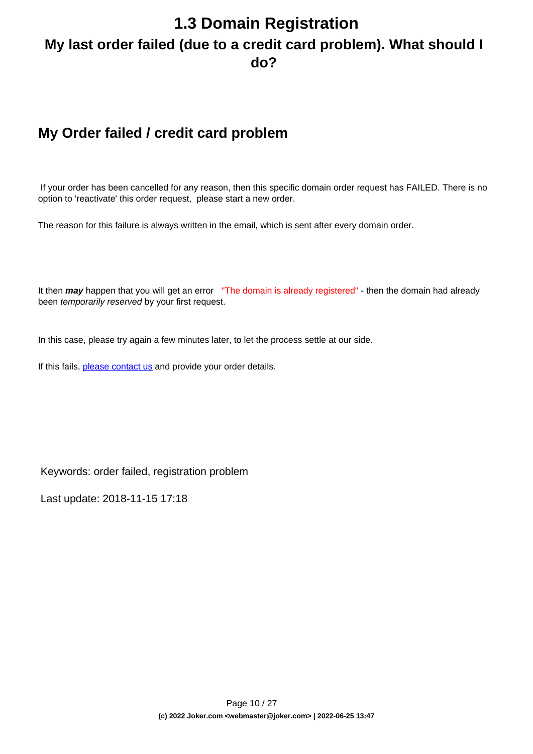## <span id="page-9-0"></span>**1.3 Domain Registration My last order failed (due to a credit card problem). What should I do?**

### **My Order failed / credit card problem**

 If your order has been cancelled for any reason, then this specific domain order request has FAILED. There is no option to 'reactivate' this order request, please start a new order.

The reason for this failure is always written in the email, which is sent after every domain order.

It then **may** happen that you will get an error "The domain is already registered" - then the domain had already been temporarily reserved by your first request.

In this case, please try again a few minutes later, to let the process settle at our side.

If this fails, [please contact us](/goto/support) and provide your order details.

Keywords: order failed, registration problem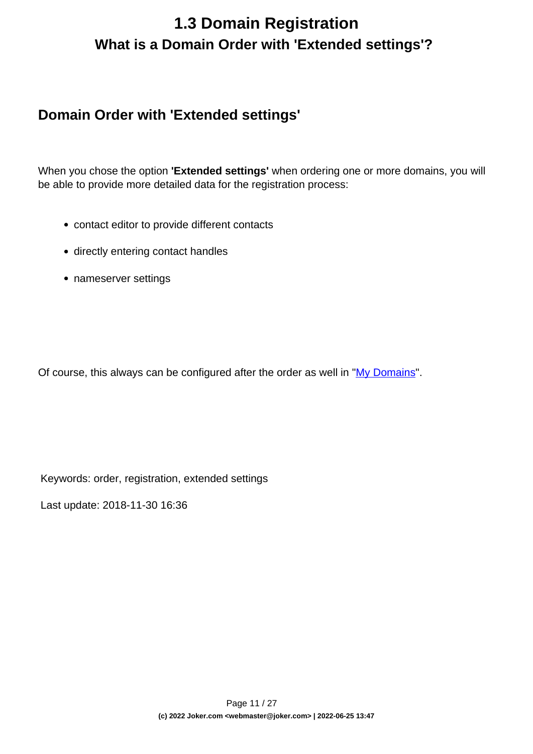## <span id="page-10-0"></span>**1.3 Domain Registration What is a Domain Order with 'Extended settings'?**

#### **Domain Order with 'Extended settings'**

When you chose the option **'Extended settings'** when ordering one or more domains, you will be able to provide more detailed data for the registration process:

- contact editor to provide different contacts
- directly entering contact handles
- nameserver settings

Of course, this always can be configured after the order as well in "[My Domains](/goto/modify)".

Keywords: order, registration, extended settings

Last update: 2018-11-30 16:36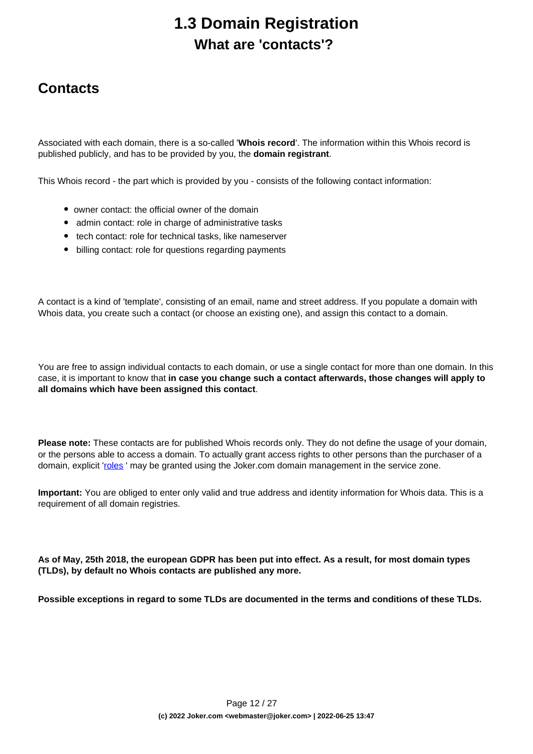## **1.3 Domain Registration What are 'contacts'?**

### <span id="page-11-0"></span>**Contacts**

Associated with each domain, there is a so-called '**Whois record**'. The information within this Whois record is published publicly, and has to be provided by you, the **domain registrant**.

This Whois record - the part which is provided by you - consists of the following contact information:

- owner contact: the official owner of the domain
- admin contact: role in charge of administrative tasks
- tech contact: role for technical tasks, like nameserver
- billing contact: role for questions regarding payments

A contact is a kind of 'template', consisting of an email, name and street address. If you populate a domain with Whois data, you create such a contact (or choose an existing one), and assign this contact to a domain.

You are free to assign individual contacts to each domain, or use a single contact for more than one domain. In this case, it is important to know that **in case you change such a contact afterwards, those changes will apply to all domains which have been assigned this contact**.

**Please note:** These contacts are for published Whois records only. They do not define the usage of your domain, or the persons able to access a domain. To actually grant access rights to other persons than the purchaser of a domain, explicit 'roles' may be granted using the Joker.com domain management in the service zone.

**Important:** You are obliged to enter only valid and true address and identity information for Whois data. This is a requirement of all domain registries.

**As of May, 25th 2018, the european GDPR has been put into effect. As a result, for most domain types (TLDs), by default no Whois contacts are published any more.** 

**Possible exceptions in regard to some TLDs are documented in the terms and conditions of these TLDs.**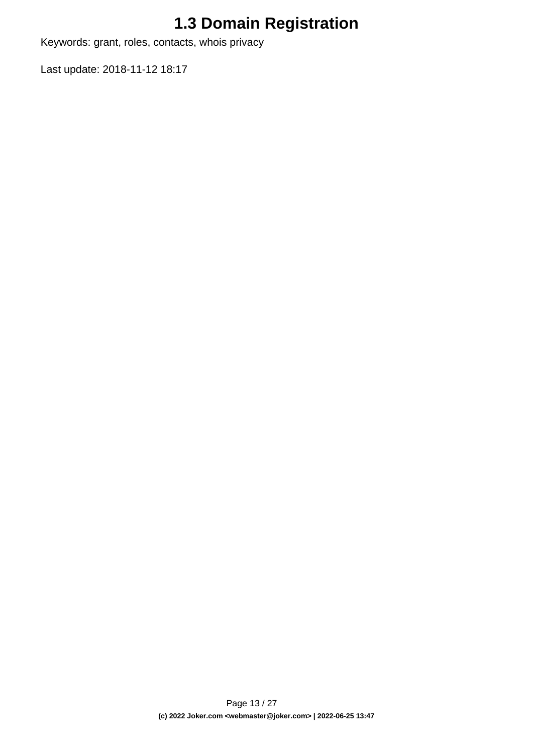Keywords: grant, roles, contacts, whois privacy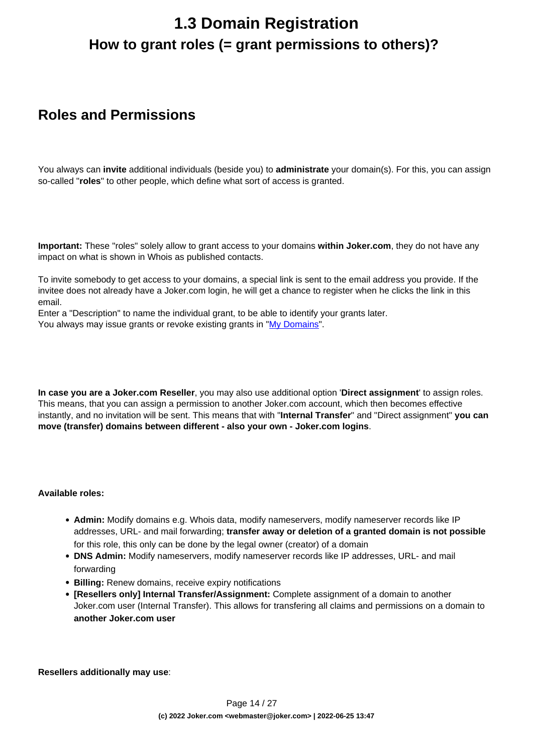## <span id="page-13-0"></span>**1.3 Domain Registration How to grant roles (= grant permissions to others)?**

#### **Roles and Permissions**

You always can **invite** additional individuals (beside you) to **administrate** your domain(s). For this, you can assign so-called "**roles**" to other people, which define what sort of access is granted.

**Important:** These "roles" solely allow to grant access to your domains **within Joker.com**, they do not have any impact on what is shown in Whois as published contacts.

To invite somebody to get access to your domains, a special link is sent to the email address you provide. If the invitee does not already have a Joker.com login, he will get a chance to register when he clicks the link in this email.

Enter a "Description" to name the individual grant, to be able to identify your grants later. You always may issue grants or revoke existing grants in "[My Domains](https://joker.com/goto/szone1)".

**In case you are a Joker.com Reseller**, you may also use additional option '**Direct assignment**' to assign roles. This means, that you can assign a permission to another Joker.com account, which then becomes effective instantly, and no invitation will be sent. This means that with "**Internal Transfer**" and "Direct assignment" **you can move (transfer) domains between different - also your own - Joker.com logins**.

#### **Available roles:**

- **Admin:** Modify domains e.g. Whois data, modify nameservers, modify nameserver records like IP addresses, URL- and mail forwarding; **transfer away or deletion of a granted domain is not possible** for this role, this only can be done by the legal owner (creator) of a domain
- **DNS Admin:** Modify nameservers, modify nameserver records like IP addresses, URL- and mail forwarding
- **Billing:** Renew domains, receive expiry notifications
- **[Resellers only] Internal Transfer/Assignment:** Complete assignment of a domain to another Joker.com user (Internal Transfer). This allows for transfering all claims and permissions on a domain to **another Joker.com user**

**Resellers additionally may use**: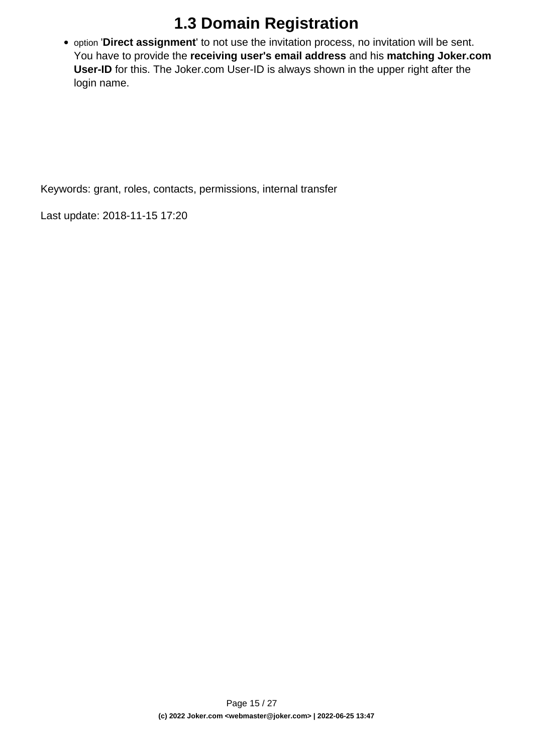option '**Direct assignment**' to not use the invitation process, no invitation will be sent. You have to provide the **receiving user's email address** and his **matching Joker.com User-ID** for this. The Joker.com User-ID is always shown in the upper right after the login name.

Keywords: grant, roles, contacts, permissions, internal transfer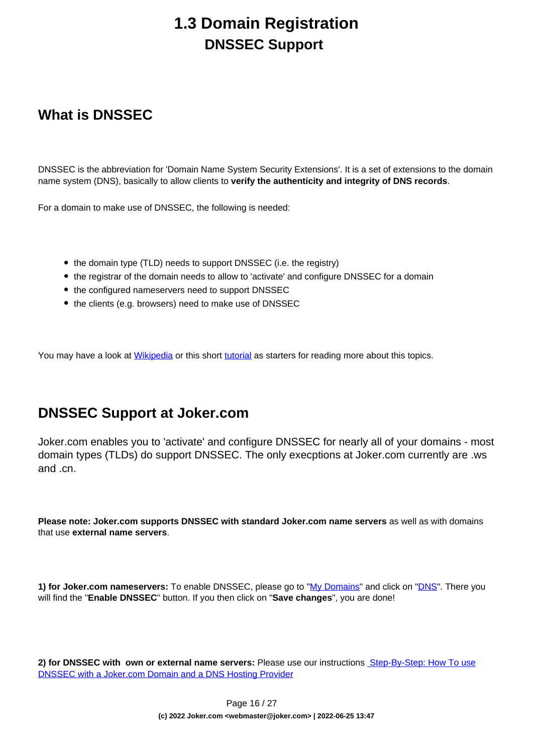### **1.3 Domain Registration DNSSEC Support**

### <span id="page-15-0"></span>**What is DNSSEC**

DNSSEC is the abbreviation for 'Domain Name System Security Extensions'. It is a set of extensions to the domain name system (DNS), basically to allow clients to **verify the authenticity and integrity of DNS records**.

For a domain to make use of DNSSEC, the following is needed:

- the domain type (TLD) needs to support DNSSEC (i.e. the registry)
- the registrar of the domain needs to allow to 'activate' and configure DNSSEC for a domain
- the configured nameservers need to support DNSSEC
- the clients (e.g. browsers) need to make use of DNSSEC

You may have a look at [Wikipedia](http://en.wikipedia.org/wiki/Domain_Name_System_Security_Extensions) or this short [tutorial](https://www.internetsociety.org/deploy360/dnssec/basics/) as starters for reading more about this topics.

#### **DNSSEC Support at Joker.com**

Joker.com enables you to 'activate' and configure DNSSEC for nearly all of your domains - most domain types (TLDs) do support DNSSEC. The only execptions at Joker.com currently are .ws and .cn.

**Please note: Joker.com supports DNSSEC with standard Joker.com name servers** as well as with domains that use **external name servers**.

**1) for Joker.com nameservers:** To enable DNSSEC, please go to ["My Domains"](/goto/modify) and click on ["DNS](/goto/modify_zone)". There you will find the "**Enable DNSSEC**" button. If you then click on "**Save changes**", you are done!

**2) for DNSSEC with own or external name servers:** Please use our instructions [Step-By-Step: How To use](index.php?action=artikel&cat=11&id=503&artlang=en) [DNSSEC with a Joker.com Domain and a DNS Hosting Provider](index.php?action=artikel&cat=11&id=503&artlang=en)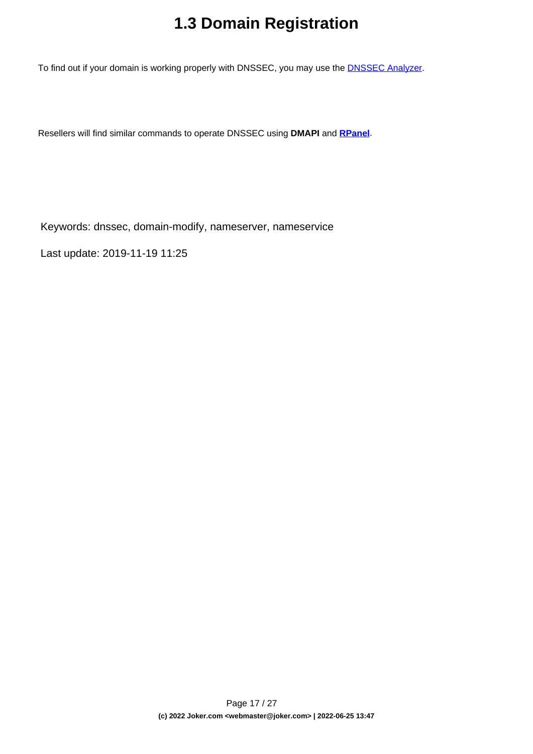To find out if your domain is working properly with DNSSEC, you may use the **DNSSEC Analyzer**.

Resellers will find similar commands to operate DNSSEC using **DMAPI** and **[RPanel](https://rpanel.io)**.

Keywords: dnssec, domain-modify, nameserver, nameservice

Last update: 2019-11-19 11:25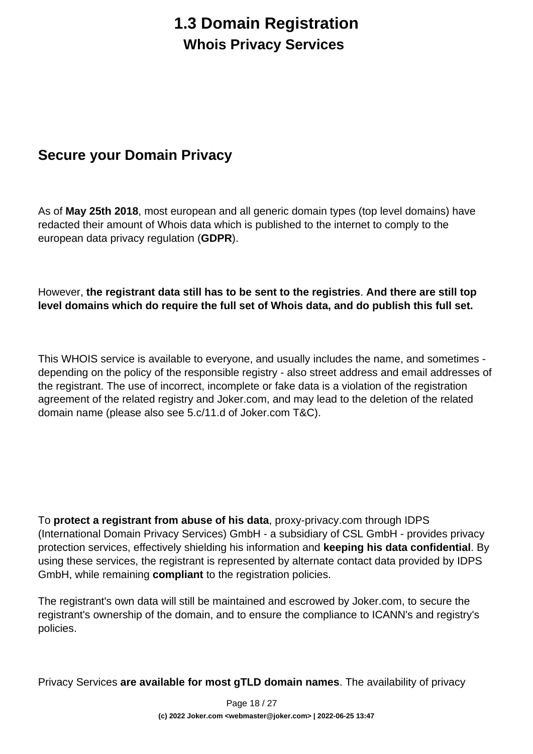## **1.3 Domain Registration Whois Privacy Services**

### <span id="page-17-0"></span>**Secure your Domain Privacy**

As of **May 25th 2018**, most european and all generic domain types (top level domains) have redacted their amount of Whois data which is published to the internet to comply to the european data privacy regulation (**GDPR**).

#### However, **the registrant data still has to be sent to the registries**. **And there are still top level domains which do require the full set of Whois data, and do publish this full set.**

This WHOIS service is available to everyone, and usually includes the name, and sometimes depending on the policy of the responsible registry - also street address and email addresses of the registrant. The use of incorrect, incomplete or fake data is a violation of the registration agreement of the related registry and Joker.com, and may lead to the deletion of the related domain name (please also see 5.c/11.d of Joker.com T&C).

To **protect a registrant from abuse of his data**, proxy-privacy.com through IDPS (International Domain Privacy Services) GmbH - a subsidiary of CSL GmbH - provides privacy protection services, effectively shielding his information and **keeping his data confidential**. By using these services, the registrant is represented by alternate contact data provided by IDPS GmbH, while remaining **compliant** to the registration policies.

The registrant's own data will still be maintained and escrowed by Joker.com, to secure the registrant's ownership of the domain, and to ensure the compliance to ICANN's and registry's policies.

Privacy Services **are available for most gTLD domain names**. The availability of privacy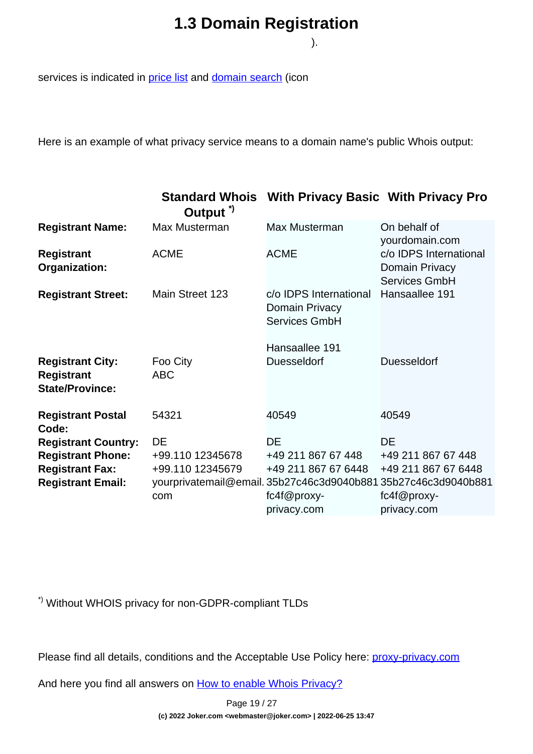).

services is indicated in [price list](https://joker.com/goto/prices) and [domain search](https://joker.com/goto/order) (icon

Here is an example of what privacy service means to a domain name's public Whois output:

|                                                                        | Output <sup>"</sup> | <b>Standard Whois With Privacy Basic With Privacy Pro</b>        |                                                                  |
|------------------------------------------------------------------------|---------------------|------------------------------------------------------------------|------------------------------------------------------------------|
| <b>Registrant Name:</b>                                                | Max Musterman       | Max Musterman                                                    | On behalf of<br>yourdomain.com                                   |
| <b>Registrant</b><br>Organization:                                     | <b>ACME</b>         | <b>ACME</b>                                                      | c/o IDPS International<br>Domain Privacy<br><b>Services GmbH</b> |
| <b>Registrant Street:</b>                                              | Main Street 123     | c/o IDPS International<br>Domain Privacy<br><b>Services GmbH</b> | Hansaallee 191                                                   |
|                                                                        |                     | Hansaallee 191                                                   |                                                                  |
| <b>Registrant City:</b><br><b>Registrant</b><br><b>State/Province:</b> | Foo City<br>ABC     | <b>Duesseldorf</b>                                               | <b>Duesseldorf</b>                                               |
| <b>Registrant Postal</b><br>Code:                                      | 54321               | 40549                                                            | 40549                                                            |
| <b>Registrant Country:</b>                                             | DE                  | <b>DE</b>                                                        | <b>DE</b>                                                        |
| <b>Registrant Phone:</b>                                               | +99.110 12345678    | +49 211 867 67 448                                               | +49 211 867 67 448                                               |
| <b>Registrant Fax:</b>                                                 | +99.110 12345679    | +49 211 867 67 6448                                              | +49 211 867 67 6448                                              |
| <b>Registrant Email:</b>                                               |                     |                                                                  | yourprivatemail@email.35b27c46c3d9040b88135b27c46c3d9040b881     |
|                                                                        | com                 | $fc4f@proxy-$                                                    | fc4f@proxy-                                                      |
|                                                                        |                     | privacy.com                                                      | privacy.com                                                      |

\*) Without WHOIS privacy for non-GDPR-compliant TLDs

Please find all details, conditions and the Acceptable Use Policy here: [proxy-privacy.com](http://proxy-privacy.com)

And here you find all answers on [How to enable Whois Privacy?](index.php?action=artikel&cat=5&id=479&artlang=en)

Page 19 / 27 **(c) 2022 Joker.com <webmaster@joker.com> | 2022-06-25 13:47**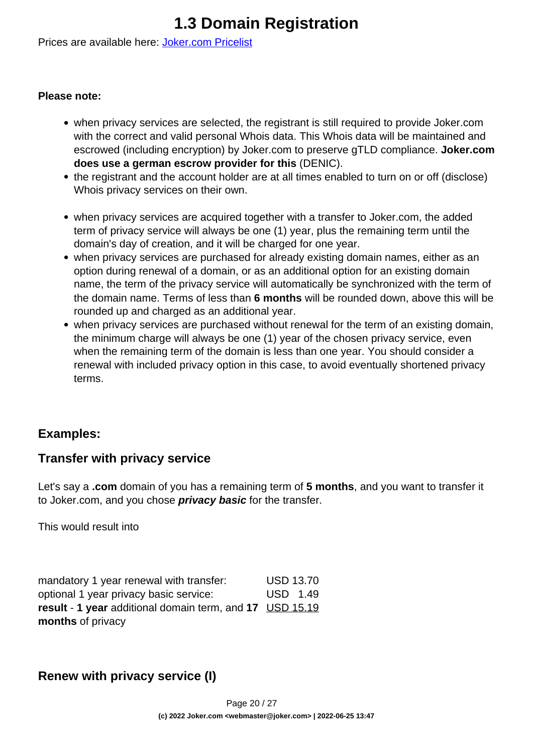Prices are available here: [Joker.com Pricelist](https://joker.com/goto/prices)

#### **Please note:**

- when privacy services are selected, the registrant is still required to provide Joker.com with the correct and valid personal Whois data. This Whois data will be maintained and escrowed (including encryption) by Joker.com to preserve gTLD compliance. **Joker.com does use a german escrow provider for this** (DENIC).
- the registrant and the account holder are at all times enabled to turn on or off (disclose) Whois privacy services on their own.
- when privacy services are acquired together with a transfer to Joker.com, the added term of privacy service will always be one (1) year, plus the remaining term until the domain's day of creation, and it will be charged for one year.
- when privacy services are purchased for already existing domain names, either as an option during renewal of a domain, or as an additional option for an existing domain name, the term of the privacy service will automatically be synchronized with the term of the domain name. Terms of less than **6 months** will be rounded down, above this will be rounded up and charged as an additional year.
- when privacy services are purchased without renewal for the term of an existing domain, the minimum charge will always be one (1) year of the chosen privacy service, even when the remaining term of the domain is less than one year. You should consider a renewal with included privacy option in this case, to avoid eventually shortened privacy terms.

#### **Examples:**

#### **Transfer with privacy service**

Let's say a **.com** domain of you has a remaining term of **5 months**, and you want to transfer it to Joker.com, and you chose **privacy basic** for the transfer.

This would result into

| mandatory 1 year renewal with transfer:                  | <b>USD 13.70</b> |
|----------------------------------------------------------|------------------|
| optional 1 year privacy basic service:                   | USD 1.49         |
| result - 1 year additional domain term, and 17 USD 15.19 |                  |
| months of privacy                                        |                  |

#### **Renew with privacy service (I)**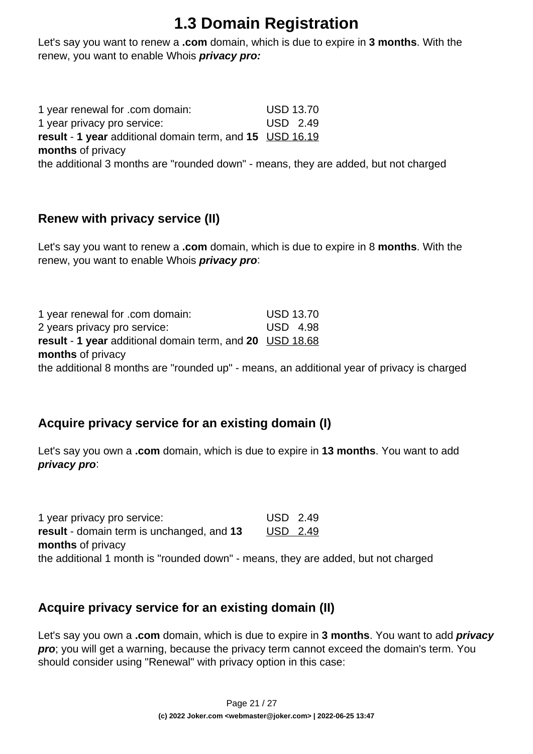Let's say you want to renew a **.com** domain, which is due to expire in **3 months**. With the renew, you want to enable Whois **privacy pro:**

1 year renewal for .com domain: USD 13.70 1 year privacy pro service: USD 2.49 **result** - **1 year** additional domain term, and **15** USD 16.19 **months** of privacy the additional 3 months are "rounded down" - means, they are added, but not charged

#### **Renew with privacy service (II)**

Let's say you want to renew a **.com** domain, which is due to expire in 8 **months**. With the renew, you want to enable Whois **privacy pro**:

| 1 year renewal for .com domain:                                                            | <b>USD 13.70</b> |
|--------------------------------------------------------------------------------------------|------------------|
| 2 years privacy pro service:                                                               | USD 4.98         |
| <b>result - 1 year</b> additional domain term, and 20 USD 18.68                            |                  |
| months of privacy                                                                          |                  |
| the additional 8 months are "rounded up" - means, an additional year of privacy is charged |                  |
|                                                                                            |                  |

#### **Acquire privacy service for an existing domain (I)**

Let's say you own a **.com** domain, which is due to expire in **13 months**. You want to add **privacy pro**:

1 year privacy pro service: USD 2.49 **result** - domain term is unchanged, and **13 months** of privacy USD 2.49 the additional 1 month is "rounded down" - means, they are added, but not charged

#### **Acquire privacy service for an existing domain (II)**

Let's say you own a **.com** domain, which is due to expire in **3 months**. You want to add **privacy pro**; you will get a warning, because the privacy term cannot exceed the domain's term. You should consider using "Renewal" with privacy option in this case: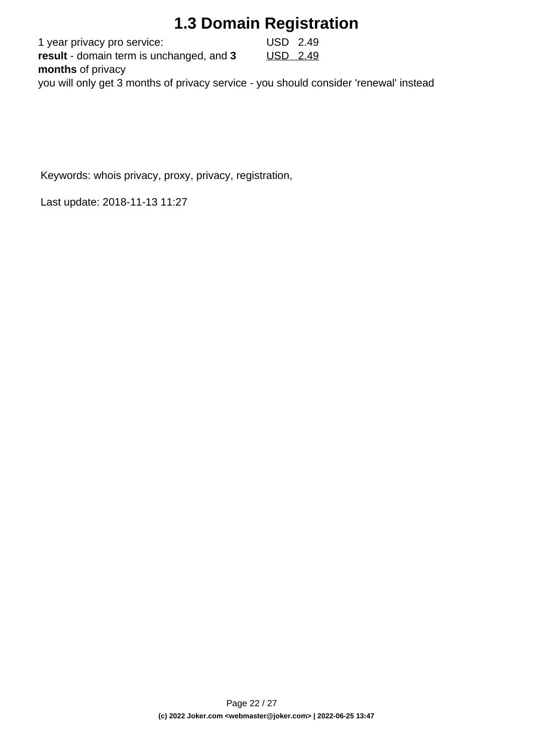1 year privacy pro service: USD 2.49 **result** - domain term is unchanged, and **3 months** of privacy USD 2.49 you will only get 3 months of privacy service - you should consider 'renewal' instead

Keywords: whois privacy, proxy, privacy, registration,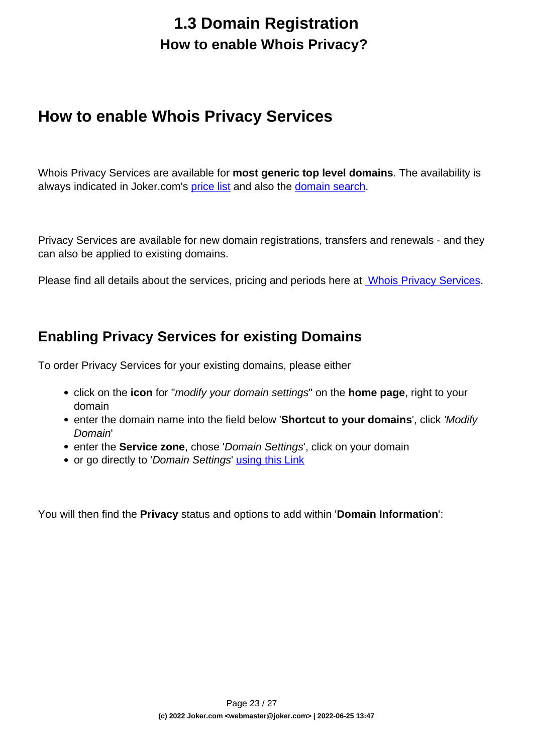## **1.3 Domain Registration How to enable Whois Privacy?**

### <span id="page-22-0"></span>**How to enable Whois Privacy Services**

Whois Privacy Services are available for **most generic top level domains**. The availability is always indicated in Joker.com's [price list](https://joker.com/goto/prices) and also the [domain search](https://joker.com/goto/order).

Privacy Services are available for new domain registrations, transfers and renewals - and they can also be applied to existing domains.

Please find all details about the services, pricing and periods here at [Whois Privacy Services.](index.php?action=artikel&cat=5&id=476&artlang=en)

#### **Enabling Privacy Services for existing Domains**

To order Privacy Services for your existing domains, please either

- click on the **icon** for "modify your domain settings" on the **home page**, right to your domain
- enter the domain name into the field below '**Shortcut to your domains**', click 'Modify Domain'
- **enter the Service zone**, chose 'Domain Settings', click on your domain
- or go directly to 'Domain Settings' [using this Link](https://joker.com/goto/modify)

You will then find the **Privacy** status and options to add within '**Domain Information**':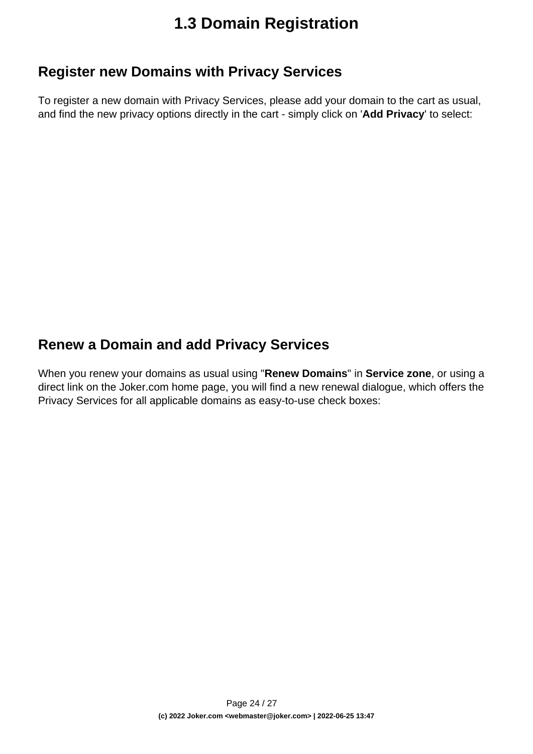#### **Register new Domains with Privacy Services**

To register a new domain with Privacy Services, please add your domain to the cart as usual, and find the new privacy options directly in the cart - simply click on '**Add Privacy**' to select:

### **Renew a Domain and add Privacy Services**

When you renew your domains as usual using "**Renew Domains**" in **Service zone**, or using a direct link on the Joker.com home page, you will find a new renewal dialogue, which offers the Privacy Services for all applicable domains as easy-to-use check boxes: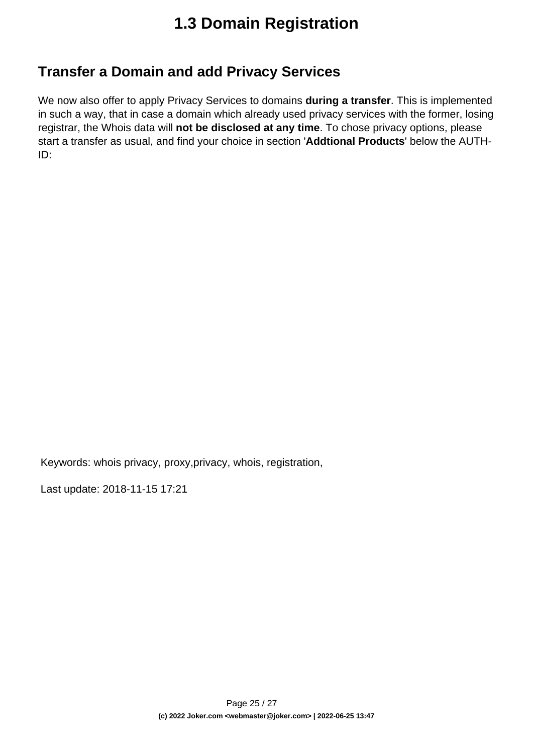### **Transfer a Domain and add Privacy Services**

We now also offer to apply Privacy Services to domains **during a transfer**. This is implemented in such a way, that in case a domain which already used privacy services with the former, losing registrar, the Whois data will **not be disclosed at any time**. To chose privacy options, please start a transfer as usual, and find your choice in section '**Addtional Products**' below the AUTH-ID:

Keywords: whois privacy, proxy,privacy, whois, registration,